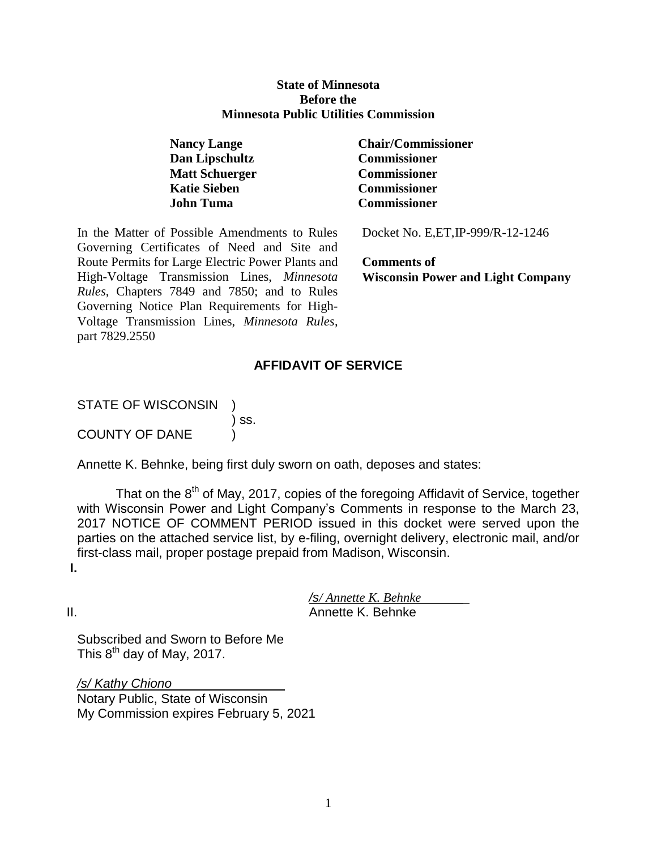#### **State of Minnesota Before the Minnesota Public Utilities Commission**

| <b>Nancy Lange</b>    |
|-----------------------|
| Dan Lipschultz        |
| <b>Matt Schuerger</b> |
| <b>Katie Sieben</b>   |
| John Tuma             |

In the Matter of Possible Amendments to Rules Governing Certificates of Need and Site and Route Permits for Large Electric Power Plants and High-Voltage Transmission Lines, *Minnesota Rules*, Chapters 7849 and 7850; and to Rules Governing Notice Plan Requirements for High-Voltage Transmission Lines, *Minnesota Rules*, part 7829.2550

**Nancy Lange Chair/Commissioner**  $Commissioner$  $Commissioner$ **Commissioner Commissioner** 

Docket No. E,ET,IP-999/R-12-1246

**Comments of Wisconsin Power and Light Company**

# **AFFIDAVIT OF SERVICE**

STATE OF WISCONSIN )

COUNTY OF DANE )

Annette K. Behnke, being first duly sworn on oath, deposes and states:

) ss.

That on the  $8<sup>th</sup>$  of May, 2017, copies of the foregoing Affidavit of Service, together with Wisconsin Power and Light Company's Comments in response to the March 23, 2017 NOTICE OF COMMENT PERIOD issued in this docket were served upon the parties on the attached service list, by e-filing, overnight delivery, electronic mail, and/or first-class mail, proper postage prepaid from Madison, Wisconsin.

**I.**

*/s/ Annette K. Behnke* \_

II. Annette K. Behnke

Subscribed and Sworn to Before Me This  $8^{\text{th}}$  day of May, 2017.

*/s/ Kathy Chiono* Notary Public, State of Wisconsin My Commission expires February 5, 2021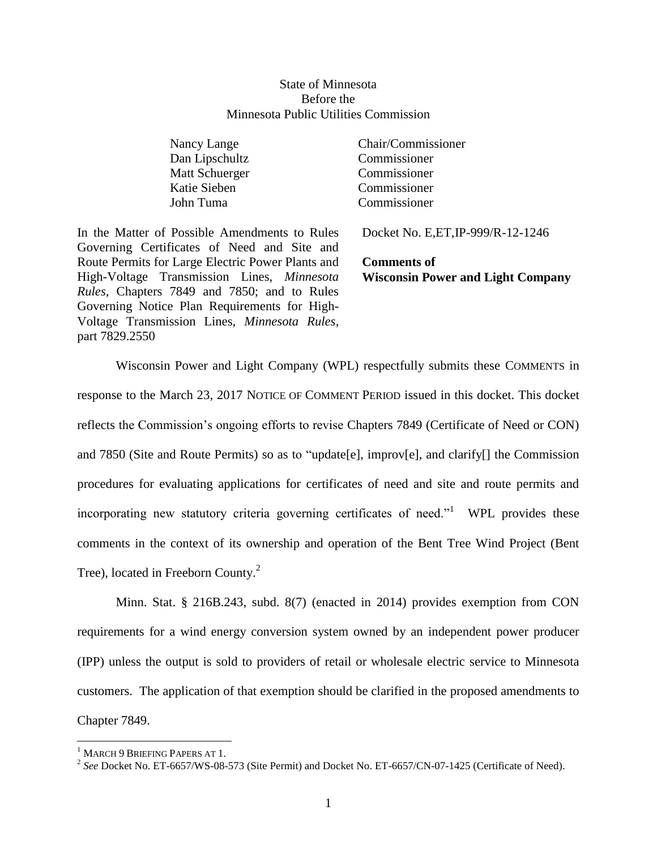#### State of Minnesota Before the Minnesota Public Utilities Commission

| Nancy Lange           |
|-----------------------|
| Dan Lipschultz        |
| <b>Matt Schuerger</b> |
| <b>Katie Sieben</b>   |
| John Tuma             |

Chair/Commissioner Commissioner Commissioner Commissioner Commissioner

In the Matter of Possible Amendments to Rules Governing Certificates of Need and Site and Route Permits for Large Electric Power Plants and High-Voltage Transmission Lines, *Minnesota Rules*, Chapters 7849 and 7850; and to Rules Governing Notice Plan Requirements for High-Voltage Transmission Lines, *Minnesota Rules*, part 7829.2550

Docket No. E,ET,IP-999/R-12-1246

**Comments of Wisconsin Power and Light Company**

Wisconsin Power and Light Company (WPL) respectfully submits these COMMENTS in response to the March 23, 2017 NOTICE OF COMMENT PERIOD issued in this docket. This docket reflects the Commission's ongoing efforts to revise Chapters 7849 (Certificate of Need or CON) and 7850 (Site and Route Permits) so as to "update[e], improv[e], and clarify[] the Commission procedures for evaluating applications for certificates of need and site and route permits and incorporating new statutory criteria governing certificates of need."<sup>1</sup> WPL provides these comments in the context of its ownership and operation of the Bent Tree Wind Project (Bent Tree), located in Freeborn County.<sup>2</sup>

Minn. Stat. § 216B.243, subd. 8(7) (enacted in 2014) provides exemption from CON requirements for a wind energy conversion system owned by an independent power producer (IPP) unless the output is sold to providers of retail or wholesale electric service to Minnesota customers. The application of that exemption should be clarified in the proposed amendments to Chapter 7849.

 $\overline{a}$ 

<sup>&</sup>lt;sup>1</sup> MARCH 9 BRIEFING PAPERS AT 1.

<sup>2</sup> *See* Docket No. ET-6657/WS-08-573 (Site Permit) and Docket No. ET-6657/CN-07-1425 (Certificate of Need).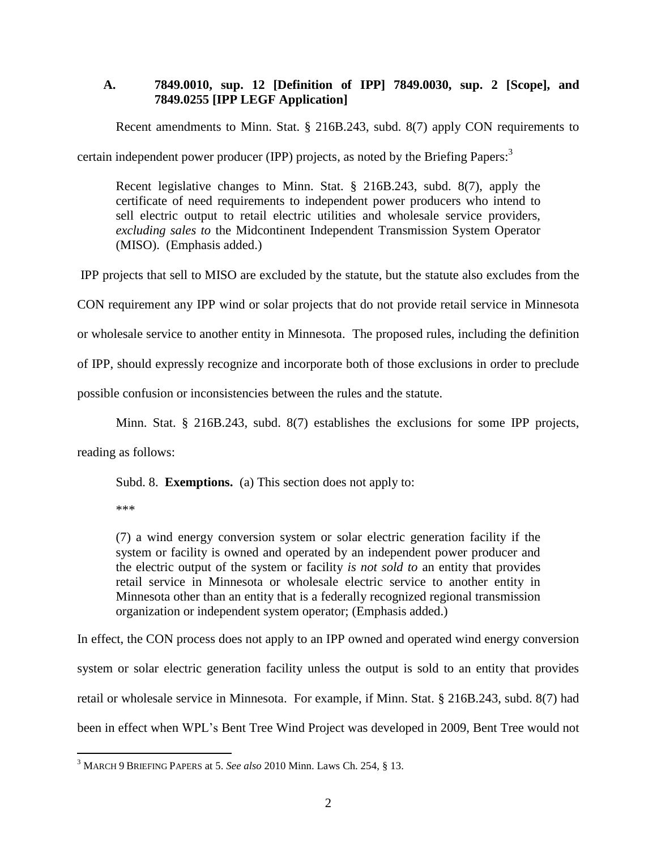## **A. 7849.0010, sup. 12 [Definition of IPP] 7849.0030, sup. 2 [Scope], and 7849.0255 [IPP LEGF Application]**

Recent amendments to Minn. Stat. § 216B.243, subd. 8(7) apply CON requirements to

certain independent power producer (IPP) projects, as noted by the Briefing Papers:<sup>3</sup>

Recent legislative changes to Minn. Stat. § 216B.243, subd. 8(7), apply the certificate of need requirements to independent power producers who intend to sell electric output to retail electric utilities and wholesale service providers, *excluding sales to* the Midcontinent Independent Transmission System Operator (MISO). (Emphasis added.)

IPP projects that sell to MISO are excluded by the statute, but the statute also excludes from the

CON requirement any IPP wind or solar projects that do not provide retail service in Minnesota

or wholesale service to another entity in Minnesota. The proposed rules, including the definition

of IPP, should expressly recognize and incorporate both of those exclusions in order to preclude

possible confusion or inconsistencies between the rules and the statute.

Minn. Stat. § 216B.243, subd. 8(7) establishes the exclusions for some IPP projects,

reading as follows:

Subd. 8. **Exemptions.** (a) This section does not apply to:

\*\*\*

(7) a wind energy conversion system or solar electric generation facility if the system or facility is owned and operated by an independent power producer and the electric output of the system or facility *is not sold to* an entity that provides retail service in Minnesota or wholesale electric service to another entity in Minnesota other than an entity that is a federally recognized regional transmission organization or independent system operator; (Emphasis added.)

In effect, the CON process does not apply to an IPP owned and operated wind energy conversion system or solar electric generation facility unless the output is sold to an entity that provides retail or wholesale service in Minnesota. For example, if Minn. Stat. § 216B.243, subd. 8(7) had been in effect when WPL's Bent Tree Wind Project was developed in 2009, Bent Tree would not

 $\overline{a}$ <sup>3</sup> MARCH 9 BRIEFING PAPERS at 5. *See also* 2010 Minn. Laws Ch. 254, § 13.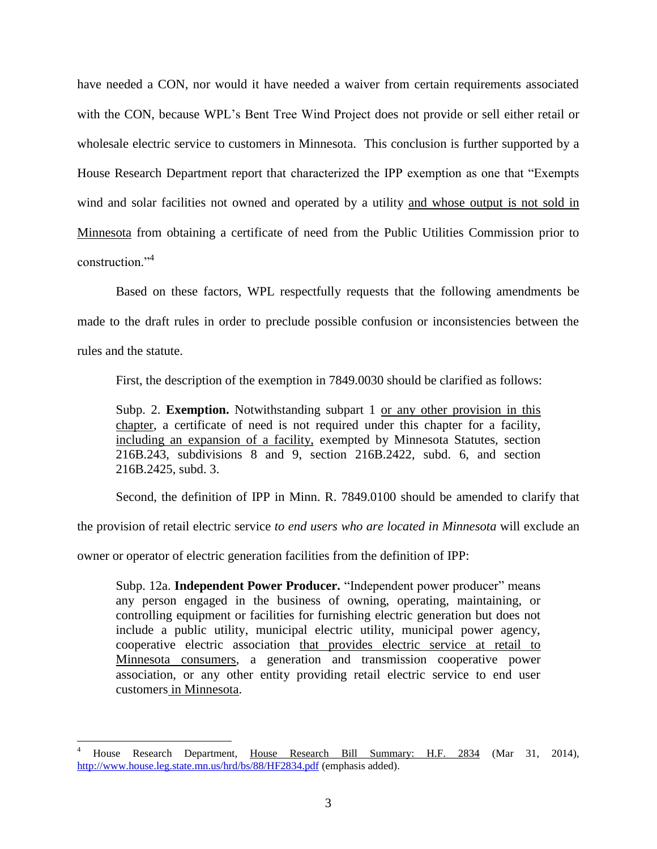have needed a CON, nor would it have needed a waiver from certain requirements associated with the CON, because WPL's Bent Tree Wind Project does not provide or sell either retail or wholesale electric service to customers in Minnesota. This conclusion is further supported by a House Research Department report that characterized the IPP exemption as one that "Exempts wind and solar facilities not owned and operated by a utility and whose output is not sold in Minnesota from obtaining a certificate of need from the Public Utilities Commission prior to construction<sup>"4</sup>

Based on these factors, WPL respectfully requests that the following amendments be made to the draft rules in order to preclude possible confusion or inconsistencies between the rules and the statute.

First, the description of the exemption in 7849.0030 should be clarified as follows:

Subp. 2. **Exemption.** Notwithstanding subpart 1 or any other provision in this chapter, a certificate of need is not required under this chapter for a facility, including an expansion of a facility, exempted by Minnesota Statutes, section 216B.243, subdivisions 8 and 9, section 216B.2422, subd. 6, and section 216B.2425, subd. 3.

Second, the definition of IPP in Minn. R. 7849.0100 should be amended to clarify that

the provision of retail electric service *to end users who are located in Minnesota* will exclude an

owner or operator of electric generation facilities from the definition of IPP:

 $\overline{a}$ 

Subp. 12a. **Independent Power Producer.** "Independent power producer" means any person engaged in the business of owning, operating, maintaining, or controlling equipment or facilities for furnishing electric generation but does not include a public utility, municipal electric utility, municipal power agency, cooperative electric association that provides electric service at retail to Minnesota consumers, a generation and transmission cooperative power association, or any other entity providing retail electric service to end user customers in Minnesota.

<sup>4</sup> House Research Department, House Research Bill Summary: H.F. 2834 (Mar 31, 2014), <http://www.house.leg.state.mn.us/hrd/bs/88/HF2834.pdf> (emphasis added).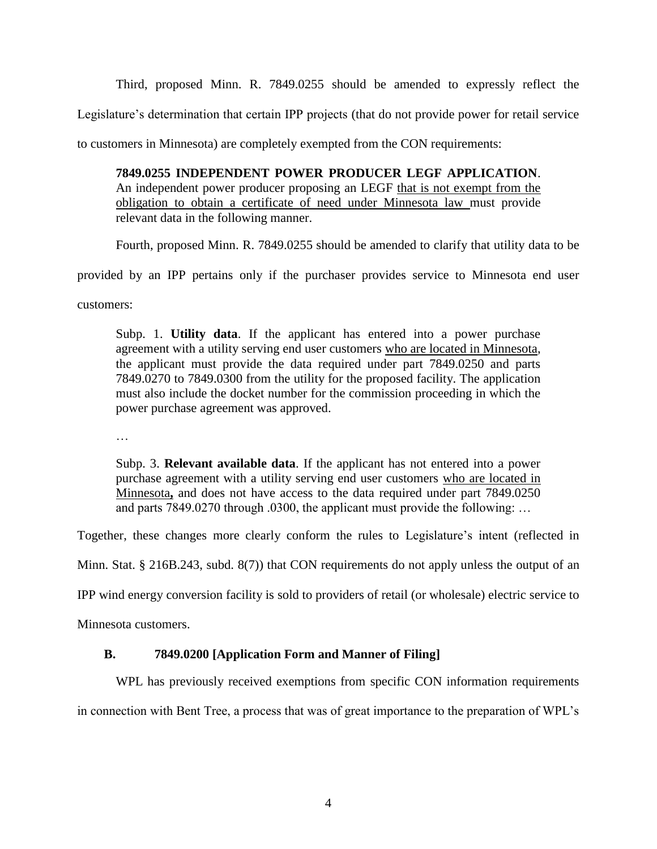Third, proposed Minn. R. 7849.0255 should be amended to expressly reflect the

Legislature's determination that certain IPP projects (that do not provide power for retail service

to customers in Minnesota) are completely exempted from the CON requirements:

# **7849.0255 INDEPENDENT POWER PRODUCER LEGF APPLICATION**.

An independent power producer proposing an LEGF that is not exempt from the obligation to obtain a certificate of need under Minnesota law must provide relevant data in the following manner.

Fourth, proposed Minn. R. 7849.0255 should be amended to clarify that utility data to be

provided by an IPP pertains only if the purchaser provides service to Minnesota end user

customers:

Subp. 1. **Utility data**. If the applicant has entered into a power purchase agreement with a utility serving end user customers who are located in Minnesota, the applicant must provide the data required under part 7849.0250 and parts 7849.0270 to 7849.0300 from the utility for the proposed facility. The application must also include the docket number for the commission proceeding in which the power purchase agreement was approved.

…

Subp. 3. **Relevant available data**. If the applicant has not entered into a power purchase agreement with a utility serving end user customers who are located in Minnesota, and does not have access to the data required under part 7849.0250 and parts 7849.0270 through .0300, the applicant must provide the following: …

Together, these changes more clearly conform the rules to Legislature's intent (reflected in

Minn. Stat. § 216B.243, subd. 8(7)) that CON requirements do not apply unless the output of an

IPP wind energy conversion facility is sold to providers of retail (or wholesale) electric service to

Minnesota customers.

### **B. 7849.0200 [Application Form and Manner of Filing]**

WPL has previously received exemptions from specific CON information requirements

in connection with Bent Tree, a process that was of great importance to the preparation of WPL's